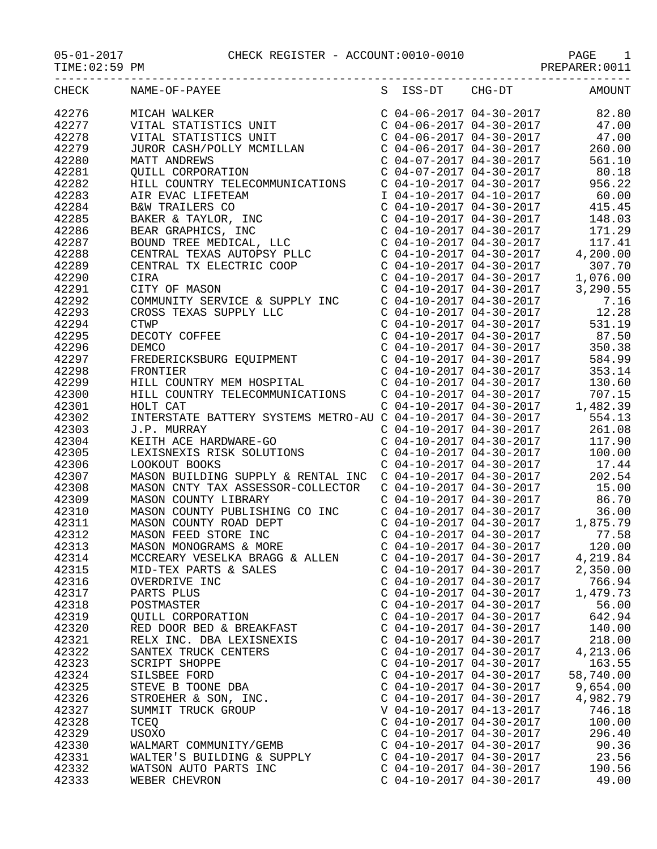$05-01-2017$  CHECK REGISTER - ACCOUNT:0010-0010 TIME:02:59 PM

PAGE 1<br>PREPARER:0011

| CHECK | NAME-OF-PAYEE<br>$\begin{tabular}{l cccc} \hline \textbf{RABE}-OP-FATEE & \textbf{S} & \textbf{ISE-DT} & \textbf{C16-DT} & \textbf{A000T} \\ \hline \textbf{MICAR NALE-TRISTES DHT} & \textbf{C} & 04-06-2017 & 04-30-2017 & 22.90 \\ \hline \textbf{VITAL STRISTES DHT} & \textbf{C} & 04-06-2017 & 04-30-2017 & 47.00 \\ \hline \textbf{MITL TTRISTES DHT} & \textbf{C} & 04-06-2017 & 04$ |                           | S ISS-DT CHG-DT AMOUNT |
|-------|----------------------------------------------------------------------------------------------------------------------------------------------------------------------------------------------------------------------------------------------------------------------------------------------------------------------------------------------------------------------------------------------|---------------------------|------------------------|
| 42276 |                                                                                                                                                                                                                                                                                                                                                                                              |                           |                        |
| 42277 |                                                                                                                                                                                                                                                                                                                                                                                              |                           |                        |
| 42278 |                                                                                                                                                                                                                                                                                                                                                                                              |                           |                        |
| 42279 |                                                                                                                                                                                                                                                                                                                                                                                              |                           |                        |
|       |                                                                                                                                                                                                                                                                                                                                                                                              |                           |                        |
| 42280 |                                                                                                                                                                                                                                                                                                                                                                                              |                           |                        |
| 42281 |                                                                                                                                                                                                                                                                                                                                                                                              |                           |                        |
| 42282 |                                                                                                                                                                                                                                                                                                                                                                                              |                           |                        |
| 42283 |                                                                                                                                                                                                                                                                                                                                                                                              |                           |                        |
| 42284 |                                                                                                                                                                                                                                                                                                                                                                                              |                           |                        |
| 42285 |                                                                                                                                                                                                                                                                                                                                                                                              |                           |                        |
| 42286 |                                                                                                                                                                                                                                                                                                                                                                                              |                           |                        |
| 42287 |                                                                                                                                                                                                                                                                                                                                                                                              |                           |                        |
| 42288 |                                                                                                                                                                                                                                                                                                                                                                                              |                           |                        |
| 42289 |                                                                                                                                                                                                                                                                                                                                                                                              |                           |                        |
| 42290 |                                                                                                                                                                                                                                                                                                                                                                                              |                           |                        |
|       |                                                                                                                                                                                                                                                                                                                                                                                              |                           |                        |
| 42291 |                                                                                                                                                                                                                                                                                                                                                                                              |                           |                        |
| 42292 |                                                                                                                                                                                                                                                                                                                                                                                              |                           |                        |
| 42293 |                                                                                                                                                                                                                                                                                                                                                                                              |                           |                        |
| 42294 |                                                                                                                                                                                                                                                                                                                                                                                              |                           |                        |
| 42295 |                                                                                                                                                                                                                                                                                                                                                                                              |                           |                        |
| 42296 |                                                                                                                                                                                                                                                                                                                                                                                              |                           |                        |
| 42297 |                                                                                                                                                                                                                                                                                                                                                                                              |                           |                        |
| 42298 |                                                                                                                                                                                                                                                                                                                                                                                              |                           |                        |
| 42299 |                                                                                                                                                                                                                                                                                                                                                                                              |                           |                        |
| 42300 |                                                                                                                                                                                                                                                                                                                                                                                              |                           |                        |
| 42301 |                                                                                                                                                                                                                                                                                                                                                                                              |                           |                        |
| 42302 |                                                                                                                                                                                                                                                                                                                                                                                              |                           |                        |
|       |                                                                                                                                                                                                                                                                                                                                                                                              |                           |                        |
| 42303 |                                                                                                                                                                                                                                                                                                                                                                                              |                           |                        |
| 42304 |                                                                                                                                                                                                                                                                                                                                                                                              |                           |                        |
| 42305 |                                                                                                                                                                                                                                                                                                                                                                                              |                           |                        |
| 42306 |                                                                                                                                                                                                                                                                                                                                                                                              |                           |                        |
| 42307 |                                                                                                                                                                                                                                                                                                                                                                                              |                           |                        |
| 42308 |                                                                                                                                                                                                                                                                                                                                                                                              |                           |                        |
| 42309 |                                                                                                                                                                                                                                                                                                                                                                                              |                           |                        |
| 42310 |                                                                                                                                                                                                                                                                                                                                                                                              |                           |                        |
| 42311 |                                                                                                                                                                                                                                                                                                                                                                                              |                           |                        |
| 42312 |                                                                                                                                                                                                                                                                                                                                                                                              |                           |                        |
| 42313 |                                                                                                                                                                                                                                                                                                                                                                                              |                           |                        |
| 42314 | MCCREARY VESELKA BRAGG & ALLEN                                                                                                                                                                                                                                                                                                                                                               | $C$ 04-10-2017 04-30-2017 | 4,219.84               |
| 42315 | MID-TEX PARTS & SALES                                                                                                                                                                                                                                                                                                                                                                        | $C$ 04-10-2017 04-30-2017 | 2,350.00               |
| 42316 | OVERDRIVE INC                                                                                                                                                                                                                                                                                                                                                                                | $C$ 04-10-2017 04-30-2017 | 766.94                 |
|       |                                                                                                                                                                                                                                                                                                                                                                                              | $C$ 04-10-2017 04-30-2017 |                        |
| 42317 | PARTS PLUS                                                                                                                                                                                                                                                                                                                                                                                   |                           | 1,479.73               |
| 42318 | POSTMASTER                                                                                                                                                                                                                                                                                                                                                                                   | $C$ 04-10-2017 04-30-2017 | 56.00                  |
| 42319 | <b>OUILL CORPORATION</b>                                                                                                                                                                                                                                                                                                                                                                     | $C$ 04-10-2017 04-30-2017 | 642.94                 |
| 42320 | RED DOOR BED & BREAKFAST                                                                                                                                                                                                                                                                                                                                                                     | $C$ 04-10-2017 04-30-2017 | 140.00                 |
| 42321 | RELX INC. DBA LEXISNEXIS                                                                                                                                                                                                                                                                                                                                                                     | $C$ 04-10-2017 04-30-2017 | 218.00                 |
| 42322 | SANTEX TRUCK CENTERS                                                                                                                                                                                                                                                                                                                                                                         | $C$ 04-10-2017 04-30-2017 | 4,213.06               |
| 42323 | SCRIPT SHOPPE                                                                                                                                                                                                                                                                                                                                                                                | $C$ 04-10-2017 04-30-2017 | 163.55                 |
| 42324 | SILSBEE FORD                                                                                                                                                                                                                                                                                                                                                                                 | $C$ 04-10-2017 04-30-2017 | 58,740.00              |
| 42325 | STEVE B TOONE DBA                                                                                                                                                                                                                                                                                                                                                                            | $C$ 04-10-2017 04-30-2017 | 9,654.00               |
| 42326 | STROEHER & SON, INC.                                                                                                                                                                                                                                                                                                                                                                         | $C$ 04-10-2017 04-30-2017 | 4,982.79               |
| 42327 | SUMMIT TRUCK GROUP                                                                                                                                                                                                                                                                                                                                                                           | V 04-10-2017 04-13-2017   | 746.18                 |
| 42328 | TCEQ                                                                                                                                                                                                                                                                                                                                                                                         | $C$ 04-10-2017 04-30-2017 | 100.00                 |
| 42329 | USOXO                                                                                                                                                                                                                                                                                                                                                                                        | $C$ 04-10-2017 04-30-2017 | 296.40                 |
|       |                                                                                                                                                                                                                                                                                                                                                                                              |                           |                        |
| 42330 | WALMART COMMUNITY/GEMB                                                                                                                                                                                                                                                                                                                                                                       | $C$ 04-10-2017 04-30-2017 | 90.36                  |
| 42331 | WALTER'S BUILDING & SUPPLY                                                                                                                                                                                                                                                                                                                                                                   | $C$ 04-10-2017 04-30-2017 | 23.56                  |
| 42332 | WATSON AUTO PARTS INC                                                                                                                                                                                                                                                                                                                                                                        | $C$ 04-10-2017 04-30-2017 | 190.56                 |
| 42333 | WEBER CHEVRON                                                                                                                                                                                                                                                                                                                                                                                | $C$ 04-10-2017 04-30-2017 | 49.00                  |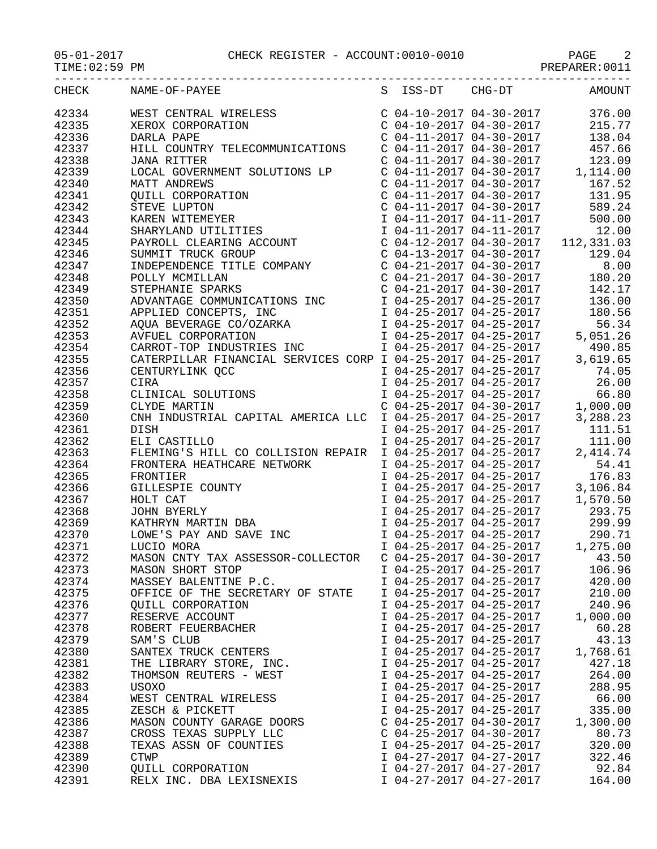| TIME: 02:59 PM |                                                                                                                                                                                                                                                                 |                            | PREPARER: 0011                                                                                                                                                                                                                                                                                                               |
|----------------|-----------------------------------------------------------------------------------------------------------------------------------------------------------------------------------------------------------------------------------------------------------------|----------------------------|------------------------------------------------------------------------------------------------------------------------------------------------------------------------------------------------------------------------------------------------------------------------------------------------------------------------------|
| CHECK          | S ISS-DT CHG-DT<br>NAME-OF-PAYEE                                                                                                                                                                                                                                |                            | <b>AMOUNT</b>                                                                                                                                                                                                                                                                                                                |
| 42334          | WEST CENTRAL WIRELESS<br>XEROX CORPORATION<br>DARLA PAPE                                                                                                                                                                                                        |                            | $\left( \begin{array}{ccc} C & 04-10-2017 & 04-30-2017 & 376.00 \\ C & 04-10-2017 & 04-30-2017 & 215.77 \\ C & 04-11-2017 & 04-30-2017 & 138.04 \end{array} \right)$                                                                                                                                                         |
| 42335          |                                                                                                                                                                                                                                                                 |                            |                                                                                                                                                                                                                                                                                                                              |
| 42336          | DARLA PAPE                                                                                                                                                                                                                                                      |                            |                                                                                                                                                                                                                                                                                                                              |
| 42337          | HILL COUNTRY TELECOMMUNICATIONS                                                                                                                                                                                                                                 |                            | C 04-11-2017 04-30-2017 457.66                                                                                                                                                                                                                                                                                               |
| 42338          | <b>JANA RITTER</b>                                                                                                                                                                                                                                              |                            |                                                                                                                                                                                                                                                                                                                              |
| 42339          |                                                                                                                                                                                                                                                                 |                            |                                                                                                                                                                                                                                                                                                                              |
| 42340          |                                                                                                                                                                                                                                                                 |                            | $\begin{tabular}{lllllllllll} c&\texttt{01} & \texttt{12} & \texttt{03} & \texttt{04} & \texttt{05} & \texttt{06} \\ \texttt{C} & 04-11-2017 & 04-30-2017 & & 123.09 \\ \texttt{C} & 04-11-2017 & 04-30-2017 & & 1,114.00 \\ \texttt{C} & 04-11-2017 & 04-30-2017 & & 167.52 \\ \texttt{C} & 04-11-2017 & 04-30-2017 & & 13$ |
| 42341          |                                                                                                                                                                                                                                                                 |                            |                                                                                                                                                                                                                                                                                                                              |
| 42342          |                                                                                                                                                                                                                                                                 | $C$ 04-11-2017 04-30-2017  | 589.24                                                                                                                                                                                                                                                                                                                       |
|                |                                                                                                                                                                                                                                                                 |                            |                                                                                                                                                                                                                                                                                                                              |
| 42343          |                                                                                                                                                                                                                                                                 |                            |                                                                                                                                                                                                                                                                                                                              |
| 42344          | JANA RITTER<br>LOCAL GOVERNMENT SOLUTIONS LP<br>MATT ANDREWS<br>QUILL CORPORATION<br>STEVE LUPTON<br>KAREN WITEMEYER<br>SHARYLAND UTILITIES<br>PAYROLL CLEARING ACCOUNT<br>SUMMIT TRUCK GROUP<br>INDEPENDENCE TITLE COMPANY<br>POLLY MCMILLAN<br>STEPHANIE SPAR |                            | C 04-11-2017 04-30-2017<br>C 04-11-2017 04-11-2017 500.00<br>C 04-12-2017 04-30-2017 112,331.03<br>C 04-13-2017 04-30-2017 112,331.03<br>C 04-21-2017 04-30-2017 8.00<br>C 04-21-2017 04-30-2017 180.20<br>C 04-21-2017 04-30-2017 180.20                                                                                    |
| 42345          |                                                                                                                                                                                                                                                                 |                            |                                                                                                                                                                                                                                                                                                                              |
| 42346          |                                                                                                                                                                                                                                                                 |                            |                                                                                                                                                                                                                                                                                                                              |
| 42347          |                                                                                                                                                                                                                                                                 |                            |                                                                                                                                                                                                                                                                                                                              |
| 42348          |                                                                                                                                                                                                                                                                 |                            |                                                                                                                                                                                                                                                                                                                              |
| 42349          | STEPHANIE SPARKS                                                                                                                                                                                                                                                | C 04-21-2017 04-30-2017    | 142.17                                                                                                                                                                                                                                                                                                                       |
| 42350          |                                                                                                                                                                                                                                                                 |                            |                                                                                                                                                                                                                                                                                                                              |
| 42351          |                                                                                                                                                                                                                                                                 |                            |                                                                                                                                                                                                                                                                                                                              |
| 42352          |                                                                                                                                                                                                                                                                 |                            | 56.34                                                                                                                                                                                                                                                                                                                        |
| 42353          | ADVANTAGE COMMUNICATIONS INC<br>APPLIED CONCEPTS, INC<br>APPLIED CONCEPTS, INC<br>AQUA BEVERAGE CO/OZARKA<br>AVFUEL CORPORATION<br>AVFUEL CORPORATION<br>CORPORATION<br>CORPORATION<br>CORPORATION<br>CORPORATION<br>CORPORATION<br>CORPORATION<br>COR          |                            |                                                                                                                                                                                                                                                                                                                              |
| 42354          | CARROT-TOP INDUSTRIES INC                                                                                                                                                                                                                                       |                            | $1 \t04-25-2017 \t04-25-2017$ 490.85                                                                                                                                                                                                                                                                                         |
| 42355          |                                                                                                                                                                                                                                                                 |                            | 3,619.65                                                                                                                                                                                                                                                                                                                     |
| 42356          |                                                                                                                                                                                                                                                                 |                            | 74.05                                                                                                                                                                                                                                                                                                                        |
| 42357          | CATERPILLAR FINANCIAL SERVICES CORP I 04-25-2017 04-25-2017<br>CENTURYLINK QCC 1 04-25-2017 04-25-2017<br>CIRA 1 04-25-2017 04-25-2017                                                                                                                          |                            | 26.00                                                                                                                                                                                                                                                                                                                        |
| 42358          | CLINICAL SOLUTIONS                                                                                                                                                                                                                                              | $104-25-2017$ $04-25-2017$ | 66.80                                                                                                                                                                                                                                                                                                                        |
| 42359          | CLYDE MARTIN                                                                                                                                                                                                                                                    | $C$ 04-25-2017 04-30-2017  | 1,000.00                                                                                                                                                                                                                                                                                                                     |
| 42360          | CNH INDUSTRIAL CAPITAL AMERICA LLC I 04-25-2017 04-25-2017                                                                                                                                                                                                      |                            | 3,288.23                                                                                                                                                                                                                                                                                                                     |
| 42361          | DISH                                                                                                                                                                                                                                                            | I 04-25-2017 04-25-2017    | 111.51                                                                                                                                                                                                                                                                                                                       |
| 42362          |                                                                                                                                                                                                                                                                 |                            | 111.00                                                                                                                                                                                                                                                                                                                       |
| 42363          | ELI CASTILLO 104-25-2017<br>FLEMING'S HILL CO COLLISION REPAIR 104-25-2017 04-25-2017                                                                                                                                                                           |                            | 2,414.74                                                                                                                                                                                                                                                                                                                     |
| 42364          |                                                                                                                                                                                                                                                                 | $I$ 04-25-2017 04-25-2017  | 54.41                                                                                                                                                                                                                                                                                                                        |
| 42365          |                                                                                                                                                                                                                                                                 | I 04-25-2017 04-25-2017    | 176.83                                                                                                                                                                                                                                                                                                                       |
| 42366          |                                                                                                                                                                                                                                                                 |                            |                                                                                                                                                                                                                                                                                                                              |
| 42367          |                                                                                                                                                                                                                                                                 |                            |                                                                                                                                                                                                                                                                                                                              |
| 42368          |                                                                                                                                                                                                                                                                 |                            |                                                                                                                                                                                                                                                                                                                              |
| 42369          | FIEMING S HILL CO COLLISION REPAIR<br>FRONTERA HEATHCARE NETWORK<br>FRONTIER<br>GILLESPIE COUNTY<br>HOLT CAT<br>JOHN BYERLY<br>KATHRYN MARTIN DBA<br>LOWE'S PAY AND SAVE INC<br>LUGTO MORA                                                                      |                            | 1 04-25-2017 04-25-2017 3,106.84<br>1 04-25-2017 04-25-2017 1,570.50<br>1 04-25-2017 04-25-2017 293.75<br>1 04-25-2017 04-25-2017 299.99                                                                                                                                                                                     |
|                |                                                                                                                                                                                                                                                                 | I 04-25-2017 04-25-2017    | 290.71                                                                                                                                                                                                                                                                                                                       |
| 42370          |                                                                                                                                                                                                                                                                 |                            |                                                                                                                                                                                                                                                                                                                              |
| 42371          | LUCIO MORA                                                                                                                                                                                                                                                      | I 04-25-2017 04-25-2017    | 1,275.00                                                                                                                                                                                                                                                                                                                     |
| 42372          | MASON CNTY TAX ASSESSOR-COLLECTOR                                                                                                                                                                                                                               | $C$ 04-25-2017 04-30-2017  | 43.50                                                                                                                                                                                                                                                                                                                        |
| 42373          | MASON SHORT STOP                                                                                                                                                                                                                                                | I 04-25-2017 04-25-2017    | 106.96                                                                                                                                                                                                                                                                                                                       |
| 42374          | MASSEY BALENTINE P.C.                                                                                                                                                                                                                                           | I 04-25-2017 04-25-2017    | 420.00                                                                                                                                                                                                                                                                                                                       |
| 42375          | OFFICE OF THE SECRETARY OF STATE                                                                                                                                                                                                                                | I 04-25-2017 04-25-2017    | 210.00                                                                                                                                                                                                                                                                                                                       |
| 42376          | <b>QUILL CORPORATION</b>                                                                                                                                                                                                                                        | I 04-25-2017 04-25-2017    | 240.96                                                                                                                                                                                                                                                                                                                       |
| 42377          | RESERVE ACCOUNT                                                                                                                                                                                                                                                 | I 04-25-2017 04-25-2017    | 1,000.00                                                                                                                                                                                                                                                                                                                     |
| 42378          | ROBERT FEUERBACHER                                                                                                                                                                                                                                              | I 04-25-2017 04-25-2017    | 60.28                                                                                                                                                                                                                                                                                                                        |
| 42379          | SAM'S CLUB                                                                                                                                                                                                                                                      | I 04-25-2017 04-25-2017    | 43.13                                                                                                                                                                                                                                                                                                                        |
| 42380          | SANTEX TRUCK CENTERS                                                                                                                                                                                                                                            | I 04-25-2017 04-25-2017    | 1,768.61                                                                                                                                                                                                                                                                                                                     |
| 42381          | THE LIBRARY STORE, INC.                                                                                                                                                                                                                                         | I 04-25-2017 04-25-2017    | 427.18                                                                                                                                                                                                                                                                                                                       |
| 42382          | THOMSON REUTERS - WEST                                                                                                                                                                                                                                          | I 04-25-2017 04-25-2017    | 264.00                                                                                                                                                                                                                                                                                                                       |
| 42383          | USOXO                                                                                                                                                                                                                                                           | I 04-25-2017 04-25-2017    | 288.95                                                                                                                                                                                                                                                                                                                       |
| 42384          | WEST CENTRAL WIRELESS                                                                                                                                                                                                                                           | I 04-25-2017 04-25-2017    | 66.00                                                                                                                                                                                                                                                                                                                        |
| 42385          | ZESCH & PICKETT                                                                                                                                                                                                                                                 | I 04-25-2017 04-25-2017    | 335.00                                                                                                                                                                                                                                                                                                                       |
| 42386          | MASON COUNTY GARAGE DOORS                                                                                                                                                                                                                                       | $C$ 04-25-2017 04-30-2017  | 1,300.00                                                                                                                                                                                                                                                                                                                     |
| 42387          | CROSS TEXAS SUPPLY LLC                                                                                                                                                                                                                                          | $C$ 04-25-2017 04-30-2017  | 80.73                                                                                                                                                                                                                                                                                                                        |
| 42388          | TEXAS ASSN OF COUNTIES                                                                                                                                                                                                                                          | I 04-25-2017 04-25-2017    | 320.00                                                                                                                                                                                                                                                                                                                       |
| 42389          | <b>CTWP</b>                                                                                                                                                                                                                                                     | I 04-27-2017 04-27-2017    | 322.46                                                                                                                                                                                                                                                                                                                       |
| 42390          | QUILL CORPORATION                                                                                                                                                                                                                                               | I 04-27-2017 04-27-2017    | 92.84                                                                                                                                                                                                                                                                                                                        |

42391 RELX INC. DBA LEXISNEXIS I 04-27-2017 04-27-2017 164.00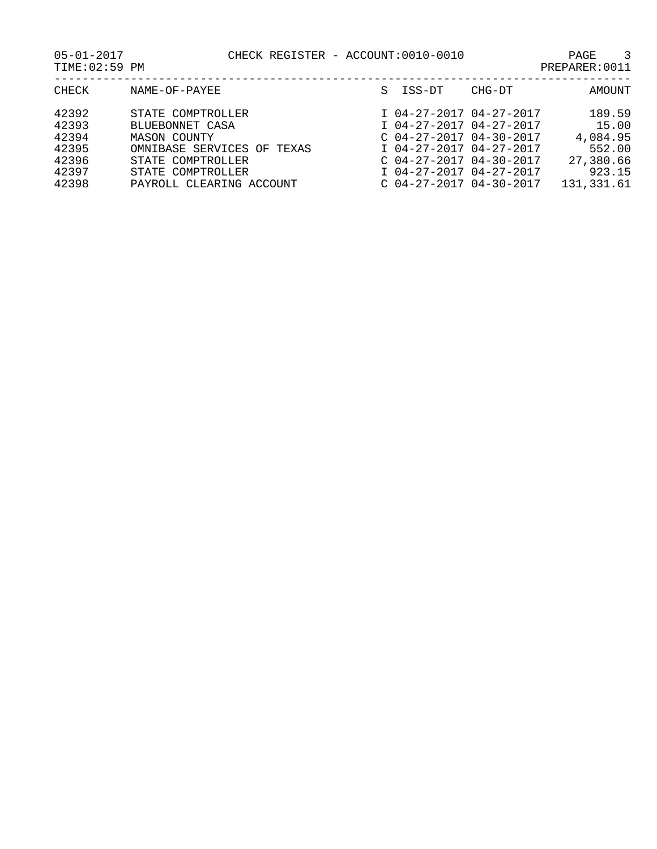| CHECK                                              | NAME-OF-PAYEE                                                                                           | S ISS-DT                                                                                                                                | CHG-DT | AMOUNT                                                       |
|----------------------------------------------------|---------------------------------------------------------------------------------------------------------|-----------------------------------------------------------------------------------------------------------------------------------------|--------|--------------------------------------------------------------|
| 42392<br>42393<br>42394<br>42395<br>42396<br>42397 | STATE COMPTROLLER<br>BLUEBONNET CASA<br>MASON COUNTY<br>OMNIBASE SERVICES OF TEXAS<br>STATE COMPTROLLER | I 04-27-2017 04-27-2017<br>I 04-27-2017 04-27-2017<br>$C$ 04-27-2017 04-30-2017<br>I 04-27-2017 04-27-2017<br>$C$ 04-27-2017 04-30-2017 |        | 189.59<br>15.00<br>4,084.95<br>552.00<br>27,380.66<br>923.15 |
| 42398                                              | STATE COMPTROLLER<br>PAYROLL CLEARING ACCOUNT                                                           | I 04-27-2017 04-27-2017<br>$C$ 04-27-2017 04-30-2017                                                                                    |        | 131,331.61                                                   |